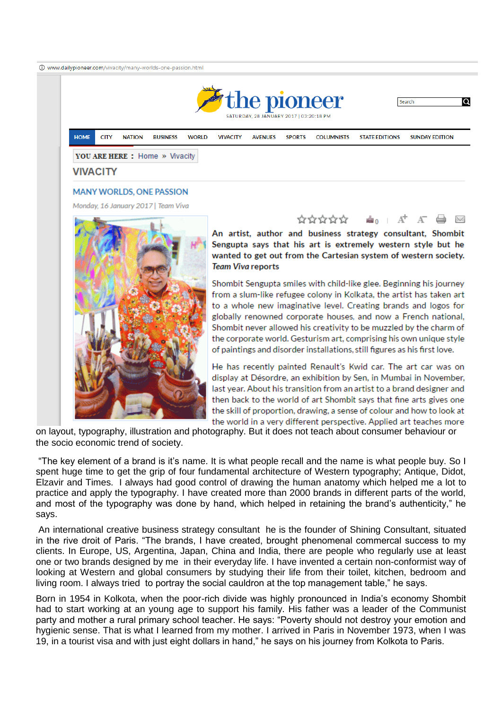

on layout, typography, illustration and photography. But it does not teach about consumer behaviour or the socio economic trend of society.

"The key element of a brand is it's name. It is what people recall and the name is what people buy. So I spent huge time to get the grip of four fundamental architecture of Western typography; Antique, Didot, Elzavir and Times. I always had good control of drawing the human anatomy which helped me a lot to practice and apply the typography. I have created more than 2000 brands in different parts of the world, and most of the typography was done by hand, which helped in retaining the brand's authenticity," he says.

An international creative business strategy consultant he is the founder of Shining Consultant, situated in the rive droit of Paris. "The brands, I have created, brought phenomenal commercal success to my clients. In Europe, US, Argentina, Japan, China and India, there are people who regularly use at least one or two brands designed by me in their everyday life. I have invented a certain non-conformist way of looking at Western and global consumers by studying their life from their toilet, kitchen, bedroom and living room. I always tried to portray the social cauldron at the top management table," he says.

Born in 1954 in Kolkota, when the poor-rich divide was highly pronounced in India's economy Shombit had to start working at an young age to support his family. His father was a leader of the Communist party and mother a rural primary school teacher. He says: "Poverty should not destroy your emotion and hygienic sense. That is what I learned from my mother. I arrived in Paris in November 1973, when I was 19, in a tourist visa and with just eight dollars in hand," he says on his journey from Kolkota to Paris.